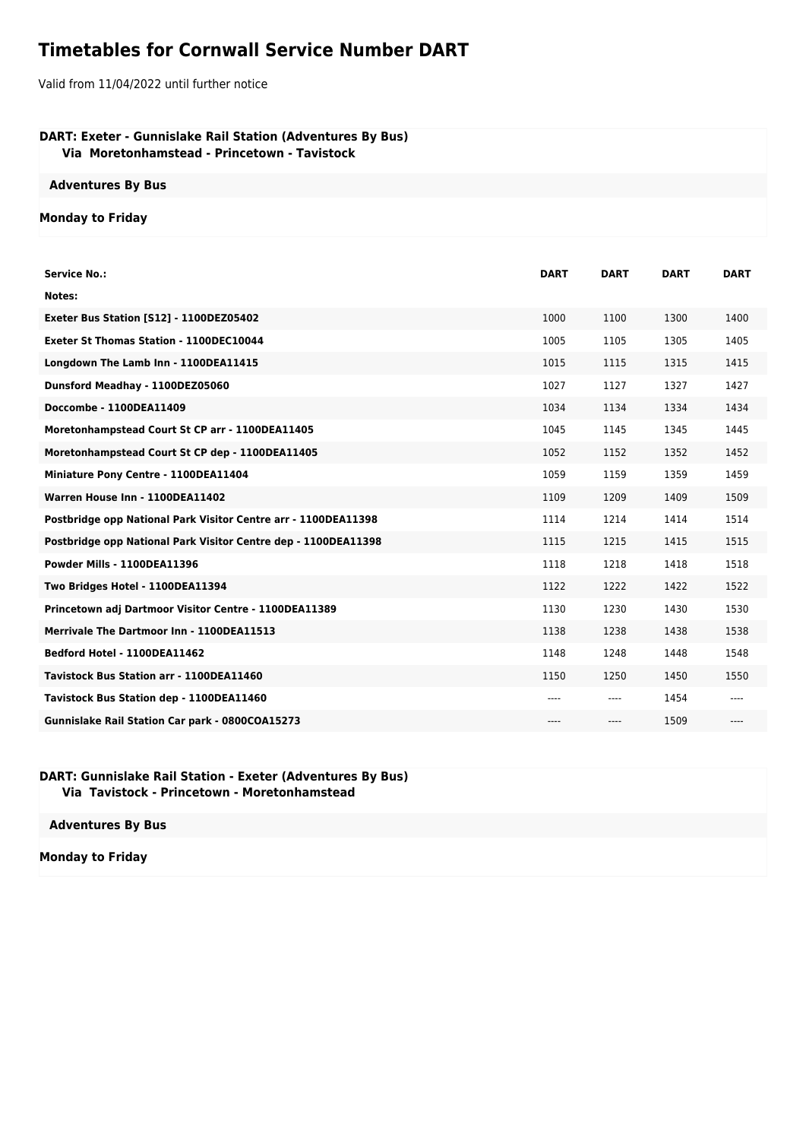## **Timetables for Cornwall Service Number DART**

Valid from 11/04/2022 until further notice

## **DART: Exeter - Gunnislake Rail Station (Adventures By Bus) Via Moretonhamstead - Princetown - Tavistock**

**Adventures By Bus**

## **Monday to Friday**

| <b>Service No.:</b>                                            | <b>DART</b> | <b>DART</b> | <b>DART</b> | <b>DART</b> |
|----------------------------------------------------------------|-------------|-------------|-------------|-------------|
| Notes:                                                         |             |             |             |             |
|                                                                |             |             |             |             |
| Exeter Bus Station [S12] - 1100DEZ05402                        | 1000        | 1100        | 1300        | 1400        |
| <b>Exeter St Thomas Station - 1100DEC10044</b>                 | 1005        | 1105        | 1305        | 1405        |
| Longdown The Lamb Inn - 1100DEA11415                           | 1015        | 1115        | 1315        | 1415        |
| Dunsford Meadhay - 1100DEZ05060                                | 1027        | 1127        | 1327        | 1427        |
| Doccombe - 1100DEA11409                                        | 1034        | 1134        | 1334        | 1434        |
| Moretonhampstead Court St CP arr - 1100DEA11405                | 1045        | 1145        | 1345        | 1445        |
| Moretonhampstead Court St CP dep - 1100DEA11405                | 1052        | 1152        | 1352        | 1452        |
| Miniature Pony Centre - 1100DEA11404                           | 1059        | 1159        | 1359        | 1459        |
| Warren House Inn - 1100DEA11402                                | 1109        | 1209        | 1409        | 1509        |
| Postbridge opp National Park Visitor Centre arr - 1100DEA11398 | 1114        | 1214        | 1414        | 1514        |
| Postbridge opp National Park Visitor Centre dep - 1100DEA11398 | 1115        | 1215        | 1415        | 1515        |
| Powder Mills - 1100DEA11396                                    | 1118        | 1218        | 1418        | 1518        |
| Two Bridges Hotel - 1100DEA11394                               | 1122        | 1222        | 1422        | 1522        |
| Princetown adj Dartmoor Visitor Centre - 1100DEA11389          | 1130        | 1230        | 1430        | 1530        |
| Merrivale The Dartmoor Inn - 1100DEA11513                      | 1138        | 1238        | 1438        | 1538        |
| Bedford Hotel - 1100DEA11462                                   | 1148        | 1248        | 1448        | 1548        |
| Tavistock Bus Station arr - 1100DEA11460                       | 1150        | 1250        | 1450        | 1550        |
| Tavistock Bus Station dep - 1100DEA11460                       | $---$       | ----        | 1454        |             |
| <b>Gunnislake Rail Station Car park - 0800COA15273</b>         | $---$       | ----        | 1509        | ----        |

## **DART: Gunnislake Rail Station - Exeter (Adventures By Bus) Via Tavistock - Princetown - Moretonhamstead**

**Adventures By Bus**

**Monday to Friday**